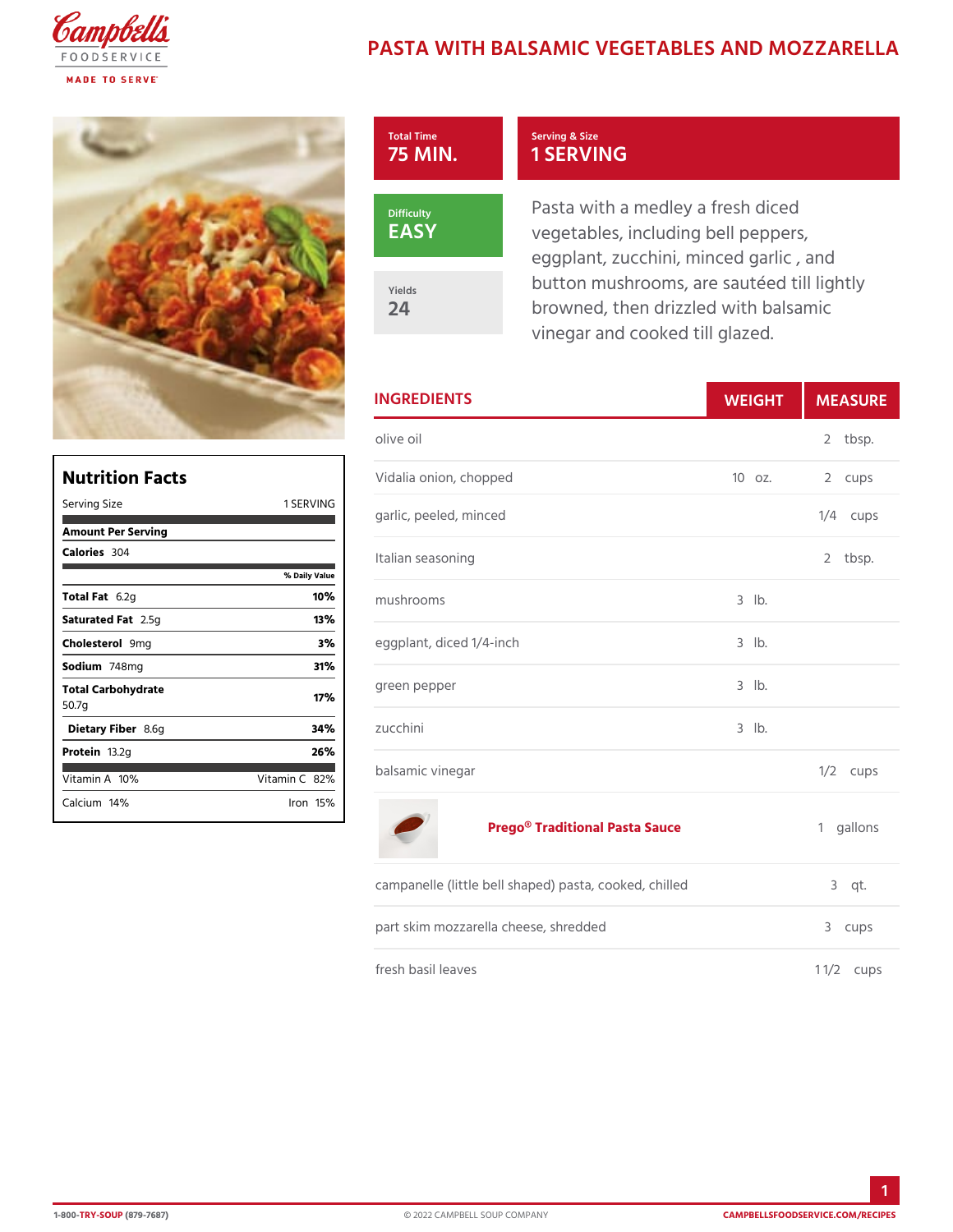# PASTA WITH BALSAMIC VEGETABLES A

| Total Time<br>75 MIN |
|----------------------|
| Difficulty<br>EASY   |
| Yields<br>24         |

### Serving & Size 1 SERVING

Pasta with a medley a fresh dic vegetables, including bell pepp eggplant, zucchini, minced garl button mushrooms, are sautéed browned, then drizzled with bal vinegar and cooked till glazed.

| <b>INGREDIENTS</b>            |             | WEIGH MEASU   |
|-------------------------------|-------------|---------------|
| olive oil                     |             | 2 tbsp.       |
| Vidalia onion, chopped        |             | 10 oz. 2 cups |
| ING<br>garlic, peeled, minced |             | $1/4$ cups    |
| Italian seasoning<br>ilue     |             | 2 tbsp.       |
| $m$ ushrooms                  | $3$ $1b$ .  |               |
| eggplant, diced 1/4-inch      | $3$ $1b$ .  |               |
| green pepper                  | $3$ $ b $ . |               |
| zucchini                      | $3$ $1b$ .  |               |
| balsamic vinegar              |             | $1/2$ cups    |
|                               |             |               |

#### [Prego® Traditional](https://www.campbellsfoodservice.com/product/prego-traditional-pasta-sauce-with-classic-italian-flavor-and-homemade-taste) Pasta Sauce 1 gallons

| campanelle (little bell shaped) pasta, cooked,3chqitl.led |             |
|-----------------------------------------------------------|-------------|
| part skim mozzarella cheese, shredded                     | 3 cups      |
| fresh basil leaves                                        | 1 $1/2$ ups |

| Nutrition Facts             |               |
|-----------------------------|---------------|
| Serving Size                | 1 SERVING     |
| Amount Per Serving          |               |
| Calorie3s04                 |               |
|                             | % Daily Value |
| Total F&t2g                 | 10%           |
| Saturated 2F.55 tg          | 13%           |
| Choleste <b>9</b> omig      | 3%            |
| Sodium748mg                 | 31%           |
| Total Carbohydrate<br>50.7g | 17%           |
| Dietary F8ib6egr            | 34%           |
| Proteifi3.2g                | 26%           |
| $V$ itamin1A $\%$           | Vitamin802%   |
| Calciuml4%                  | lron 15 %     |